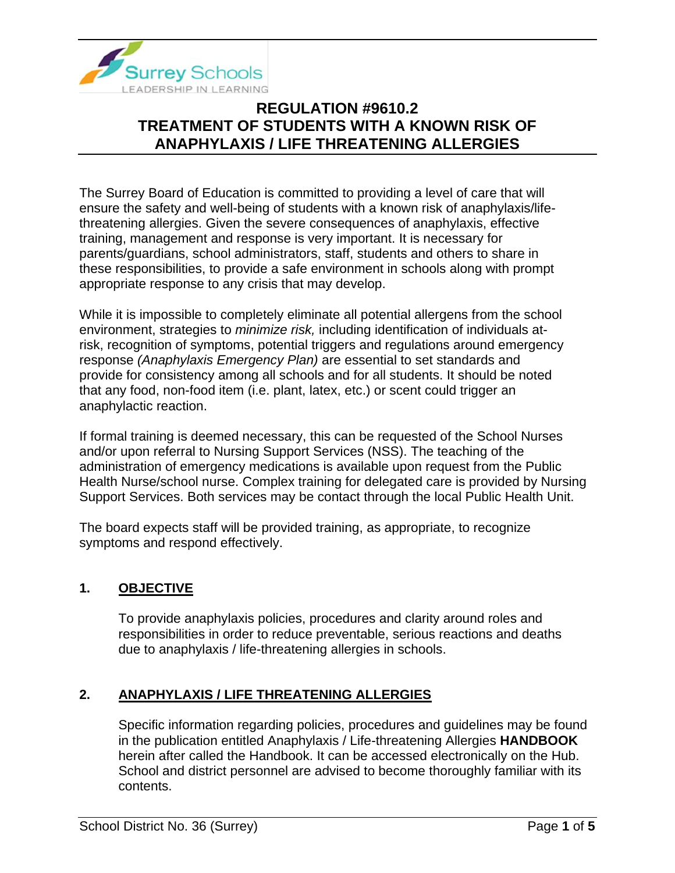

The Surrey Board of Education is committed to providing a level of care that will ensure the safety and well-being of students with a known risk of anaphylaxis/lifethreatening allergies. Given the severe consequences of anaphylaxis, effective training, management and response is very important. It is necessary for parents/guardians, school administrators, staff, students and others to share in these responsibilities, to provide a safe environment in schools along with prompt appropriate response to any crisis that may develop.

While it is impossible to completely eliminate all potential allergens from the school environment, strategies to *minimize risk,* including identification of individuals atrisk, recognition of symptoms, potential triggers and regulations around emergency response *(Anaphylaxis Emergency Plan)* are essential to set standards and provide for consistency among all schools and for all students. It should be noted that any food, non-food item (i.e. plant, latex, etc.) or scent could trigger an anaphylactic reaction.

If formal training is deemed necessary, this can be requested of the School Nurses and/or upon referral to Nursing Support Services (NSS). The teaching of the administration of emergency medications is available upon request from the Public Health Nurse/school nurse. Complex training for delegated care is provided by Nursing Support Services. Both services may be contact through the local Public Health Unit.

The board expects staff will be provided training, as appropriate, to recognize symptoms and respond effectively.

### **1. OBJECTIVE**

To provide anaphylaxis policies, procedures and clarity around roles and responsibilities in order to reduce preventable, serious reactions and deaths due to anaphylaxis / life-threatening allergies in schools.

### **2. ANAPHYLAXIS / LIFE THREATENING ALLERGIES**

Specific information regarding policies, procedures and guidelines may be found in the publication entitled Anaphylaxis / Life-threatening Allergies **HANDBOOK** herein after called the Handbook. It can be accessed electronically on the Hub. School and district personnel are advised to become thoroughly familiar with its contents.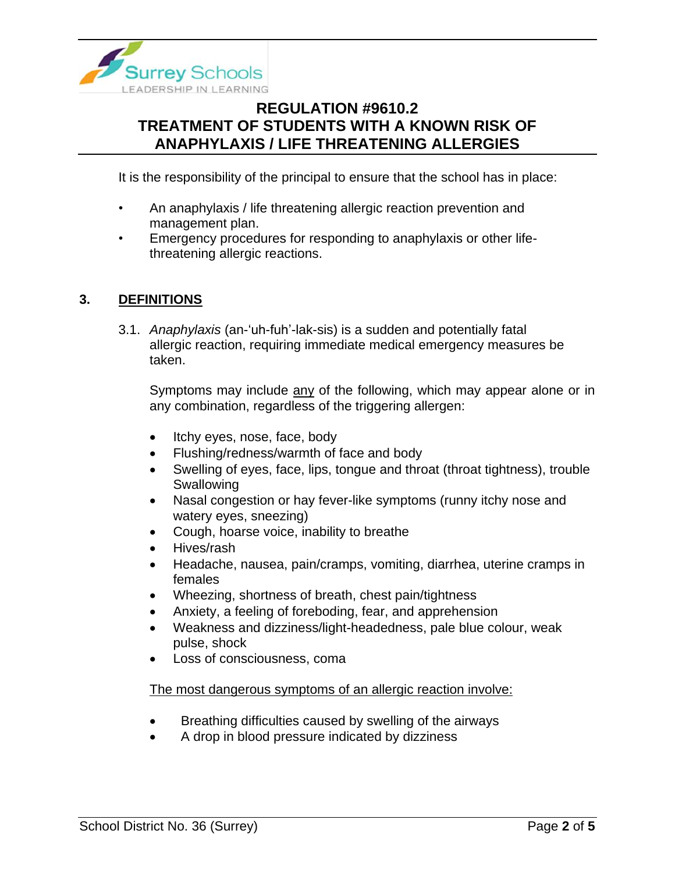

It is the responsibility of the principal to ensure that the school has in place:

- An anaphylaxis / life threatening allergic reaction prevention and management plan.
- Emergency procedures for responding to anaphylaxis or other lifethreatening allergic reactions.

#### **3. DEFINITIONS**

3.1. *Anaphylaxis* (an-'uh-fuh'-lak-sis) is a sudden and potentially fatal allergic reaction, requiring immediate medical emergency measures be taken.

Symptoms may include any of the following, which may appear alone or in any combination, regardless of the triggering allergen:

- Itchy eyes, nose, face, body
- Flushing/redness/warmth of face and body
- Swelling of eyes, face, lips, tongue and throat (throat tightness), trouble **Swallowing**
- Nasal congestion or hay fever-like symptoms (runny itchy nose and watery eyes, sneezing)
- Cough, hoarse voice, inability to breathe
- Hives/rash
- Headache, nausea, pain/cramps, vomiting, diarrhea, uterine cramps in females
- Wheezing, shortness of breath, chest pain/tightness
- Anxiety, a feeling of foreboding, fear, and apprehension
- Weakness and dizziness/light-headedness, pale blue colour, weak pulse, shock
- Loss of consciousness, coma

#### The most dangerous symptoms of an allergic reaction involve:

- Breathing difficulties caused by swelling of the airways
- A drop in blood pressure indicated by dizziness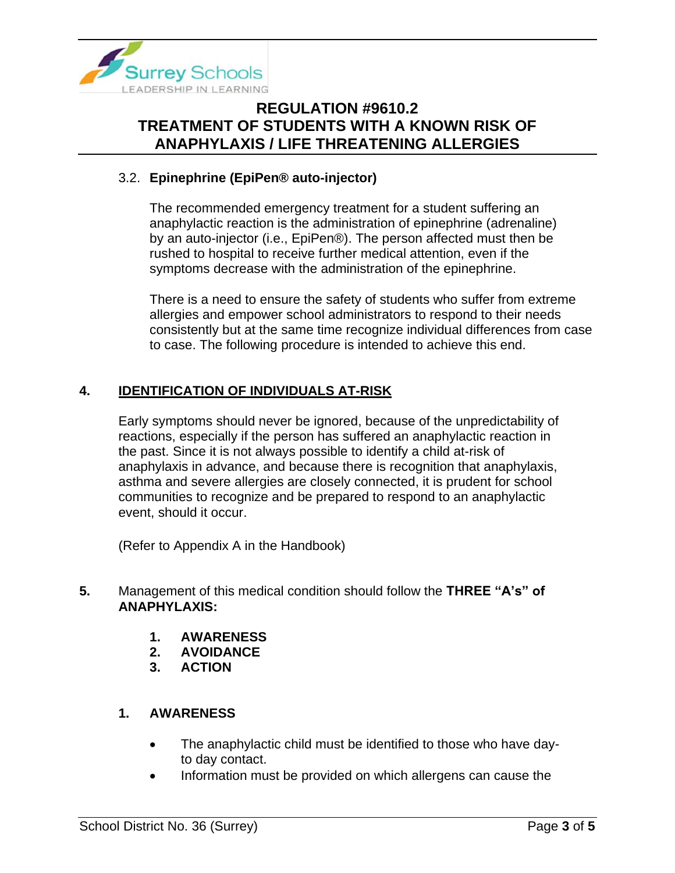

#### 3.2. **Epinephrine (EpiPen® auto-injector)**

The recommended emergency treatment for a student suffering an anaphylactic reaction is the administration of epinephrine (adrenaline) by an auto-injector (i.e., EpiPen®). The person affected must then be rushed to hospital to receive further medical attention, even if the symptoms decrease with the administration of the epinephrine.

There is a need to ensure the safety of students who suffer from extreme allergies and empower school administrators to respond to their needs consistently but at the same time recognize individual differences from case to case. The following procedure is intended to achieve this end.

### **4. IDENTIFICATION OF INDIVIDUALS AT-RISK**

Early symptoms should never be ignored, because of the unpredictability of reactions, especially if the person has suffered an anaphylactic reaction in the past. Since it is not always possible to identify a child at-risk of anaphylaxis in advance, and because there is recognition that anaphylaxis, asthma and severe allergies are closely connected, it is prudent for school communities to recognize and be prepared to respond to an anaphylactic event, should it occur.

(Refer to Appendix A in the Handbook)

- **5.** Management of this medical condition should follow the **THREE "A's" of ANAPHYLAXIS:**
	- **1. AWARENESS**
	- **2. AVOIDANCE**
	- **3. ACTION**

#### **1. AWARENESS**

- The anaphylactic child must be identified to those who have dayto day contact.
- Information must be provided on which allergens can cause the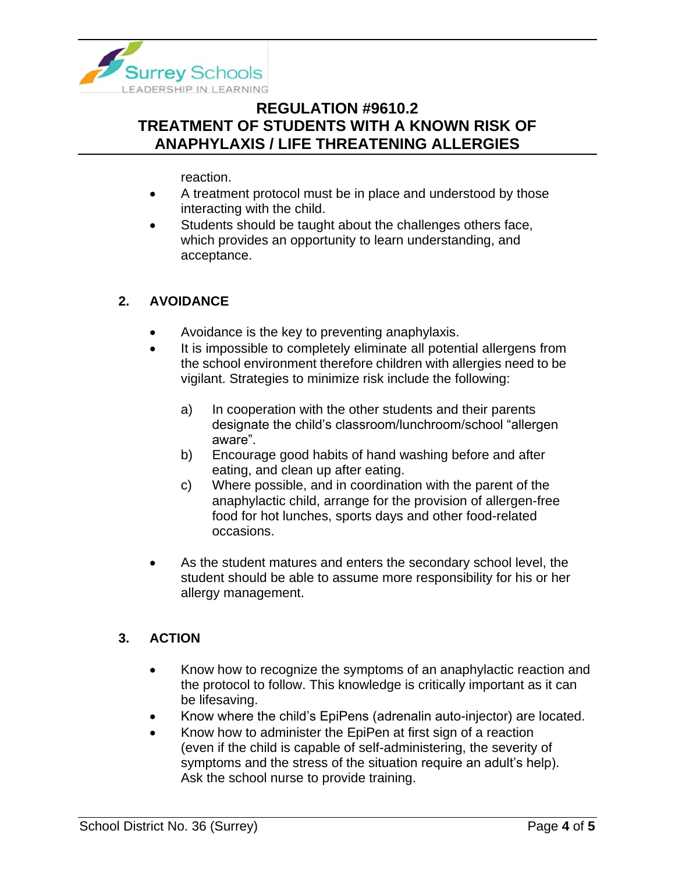

reaction.

- A treatment protocol must be in place and understood by those interacting with the child.
- Students should be taught about the challenges others face, which provides an opportunity to learn understanding, and acceptance.

#### **2. AVOIDANCE**

- Avoidance is the key to preventing anaphylaxis.
- It is impossible to completely eliminate all potential allergens from the school environment therefore children with allergies need to be vigilant. Strategies to minimize risk include the following:
	- a) In cooperation with the other students and their parents designate the child's classroom/lunchroom/school "allergen aware".
	- b) Encourage good habits of hand washing before and after eating, and clean up after eating.
	- c) Where possible, and in coordination with the parent of the anaphylactic child, arrange for the provision of allergen-free food for hot lunches, sports days and other food-related occasions.
- As the student matures and enters the secondary school level, the student should be able to assume more responsibility for his or her allergy management.

### **3. ACTION**

- Know how to recognize the symptoms of an anaphylactic reaction and the protocol to follow. This knowledge is critically important as it can be lifesaving.
- Know where the child's EpiPens (adrenalin auto-injector) are located.
- Know how to administer the EpiPen at first sign of a reaction (even if the child is capable of self-administering, the severity of symptoms and the stress of the situation require an adult's help). Ask the school nurse to provide training.